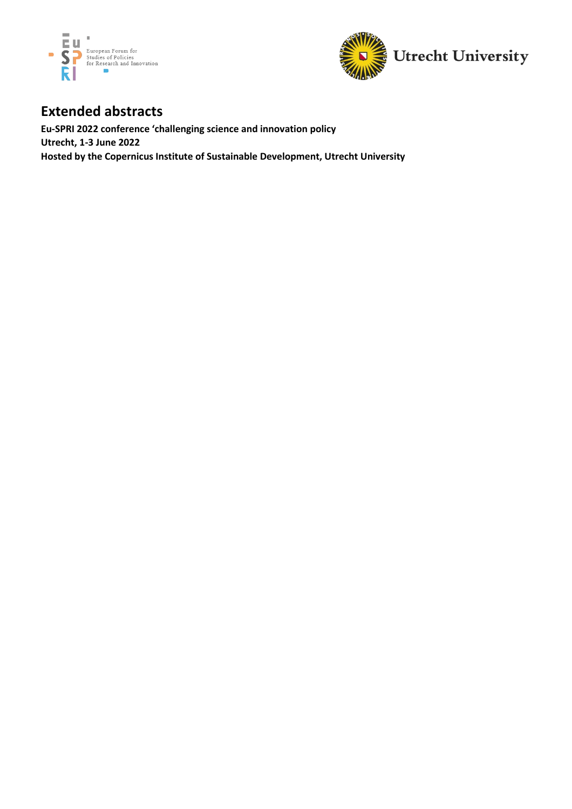



## **Extended abstracts**

**Eu-SPRI 2022 conference 'challenging science and innovation policy Utrecht, 1-3 June 2022 Hosted by the Copernicus Institute of Sustainable Development, Utrecht University**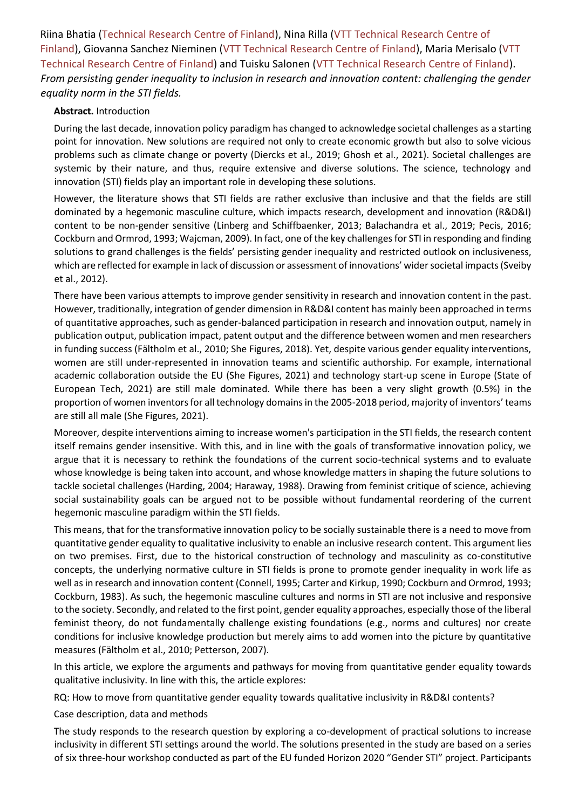Riina Bhatia (Technical Research Centre of Finland), Nina Rilla (VTT Technical Research Centre of Finland), Giovanna Sanchez Nieminen (VTT Technical Research Centre of Finland), Maria Merisalo (VTT Technical Research Centre of Finland) and Tuisku Salonen (VTT Technical Research Centre of Finland). *From persisting gender inequality to inclusion in research and innovation content: challenging the gender equality norm in the STI fields.*

## **Abstract.** Introduction

During the last decade, innovation policy paradigm has changed to acknowledge societal challenges as a starting point for innovation. New solutions are required not only to create economic growth but also to solve vicious problems such as climate change or poverty (Diercks et al., 2019; Ghosh et al., 2021). Societal challenges are systemic by their nature, and thus, require extensive and diverse solutions. The science, technology and innovation (STI) fields play an important role in developing these solutions.

However, the literature shows that STI fields are rather exclusive than inclusive and that the fields are still dominated by a hegemonic masculine culture, which impacts research, development and innovation (R&D&I) content to be non-gender sensitive (Linberg and Schiffbaenker, 2013; Balachandra et al., 2019; Pecis, 2016; Cockburn and Ormrod, 1993; Wajcman, 2009). In fact, one of the key challenges for STI in responding and finding solutions to grand challenges is the fields' persisting gender inequality and restricted outlook on inclusiveness, which are reflected for example in lack of discussion or assessment of innovations' wider societal impacts (Sveiby et al., 2012).

There have been various attempts to improve gender sensitivity in research and innovation content in the past. However, traditionally, integration of gender dimension in R&D&I content has mainly been approached in terms of quantitative approaches, such as gender-balanced participation in research and innovation output, namely in publication output, publication impact, patent output and the difference between women and men researchers in funding success (Fältholm et al., 2010; She Figures, 2018). Yet, despite various gender equality interventions, women are still under-represented in innovation teams and scientific authorship. For example, international academic collaboration outside the EU (She Figures, 2021) and technology start-up scene in Europe (State of European Tech, 2021) are still male dominated. While there has been a very slight growth (0.5%) in the proportion of women inventors for all technology domains in the 2005-2018 period, majority of inventors' teams are still all male (She Figures, 2021).

Moreover, despite interventions aiming to increase women's participation in the STI fields, the research content itself remains gender insensitive. With this, and in line with the goals of transformative innovation policy, we argue that it is necessary to rethink the foundations of the current socio-technical systems and to evaluate whose knowledge is being taken into account, and whose knowledge matters in shaping the future solutions to tackle societal challenges (Harding, 2004; Haraway, 1988). Drawing from feminist critique of science, achieving social sustainability goals can be argued not to be possible without fundamental reordering of the current hegemonic masculine paradigm within the STI fields.

This means, that for the transformative innovation policy to be socially sustainable there is a need to move from quantitative gender equality to qualitative inclusivity to enable an inclusive research content. This argument lies on two premises. First, due to the historical construction of technology and masculinity as co-constitutive concepts, the underlying normative culture in STI fields is prone to promote gender inequality in work life as well as in research and innovation content (Connell, 1995; Carter and Kirkup, 1990; Cockburn and Ormrod, 1993; Cockburn, 1983). As such, the hegemonic masculine cultures and norms in STI are not inclusive and responsive to the society. Secondly, and related to the first point, gender equality approaches, especially those of the liberal feminist theory, do not fundamentally challenge existing foundations (e.g., norms and cultures) nor create conditions for inclusive knowledge production but merely aims to add women into the picture by quantitative measures (Fältholm et al., 2010; Petterson, 2007).

In this article, we explore the arguments and pathways for moving from quantitative gender equality towards qualitative inclusivity. In line with this, the article explores:

RQ: How to move from quantitative gender equality towards qualitative inclusivity in R&D&I contents?

Case description, data and methods

The study responds to the research question by exploring a co-development of practical solutions to increase inclusivity in different STI settings around the world. The solutions presented in the study are based on a series of six three-hour workshop conducted as part of the EU funded Horizon 2020 "Gender STI" project. Participants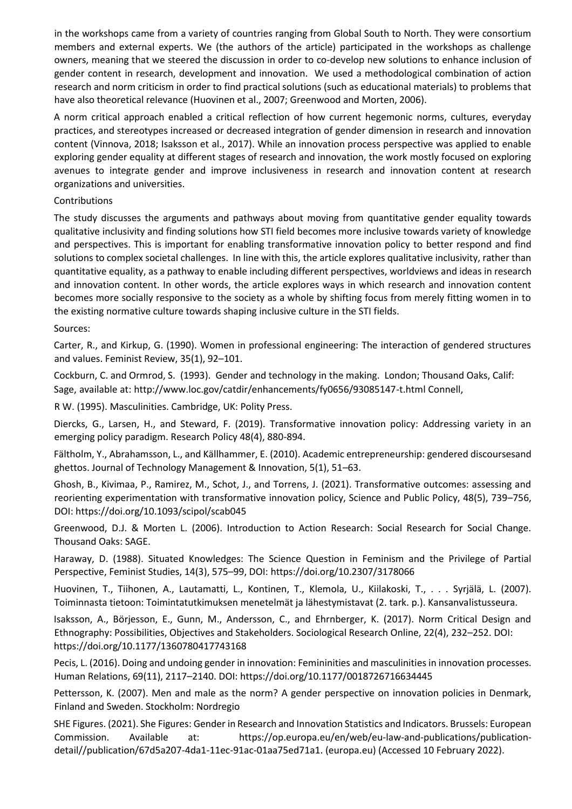in the workshops came from a variety of countries ranging from Global South to North. They were consortium members and external experts. We (the authors of the article) participated in the workshops as challenge owners, meaning that we steered the discussion in order to co-develop new solutions to enhance inclusion of gender content in research, development and innovation. We used a methodological combination of action research and norm criticism in order to find practical solutions (such as educational materials) to problems that have also theoretical relevance (Huovinen et al., 2007; Greenwood and Morten, 2006).

A norm critical approach enabled a critical reflection of how current hegemonic norms, cultures, everyday practices, and stereotypes increased or decreased integration of gender dimension in research and innovation content (Vinnova, 2018; Isaksson et al., 2017). While an innovation process perspective was applied to enable exploring gender equality at different stages of research and innovation, the work mostly focused on exploring avenues to integrate gender and improve inclusiveness in research and innovation content at research organizations and universities.

## Contributions

The study discusses the arguments and pathways about moving from quantitative gender equality towards qualitative inclusivity and finding solutions how STI field becomes more inclusive towards variety of knowledge and perspectives. This is important for enabling transformative innovation policy to better respond and find solutions to complex societal challenges. In line with this, the article explores qualitative inclusivity, rather than quantitative equality, as a pathway to enable including different perspectives, worldviews and ideas in research and innovation content. In other words, the article explores ways in which research and innovation content becomes more socially responsive to the society as a whole by shifting focus from merely fitting women in to the existing normative culture towards shaping inclusive culture in the STI fields.

## Sources:

Carter, R., and Kirkup, G. (1990). Women in professional engineering: The interaction of gendered structures and values. Feminist Review, 35(1), 92–101.

Cockburn, C. and Ormrod, S. (1993). Gender and technology in the making. London; Thousand Oaks, Calif: Sage, available at: http://www.loc.gov/catdir/enhancements/fy0656/93085147-t.html Connell,

R W. (1995). Masculinities. Cambridge, UK: Polity Press.

Diercks, G., Larsen, H., and Steward, F. (2019). Transformative innovation policy: Addressing variety in an emerging policy paradigm. Research Policy 48(4), 880-894.

Fältholm, Y., Abrahamsson, L., and Källhammer, E. (2010). Academic entrepreneurship: gendered discoursesand ghettos. Journal of Technology Management & Innovation, 5(1), 51–63.

Ghosh, B., Kivimaa, P., Ramirez, M., Schot, J., and Torrens, J. (2021). Transformative outcomes: assessing and reorienting experimentation with transformative innovation policy, Science and Public Policy, 48(5), 739–756, DOI: https://doi.org/10.1093/scipol/scab045

Greenwood, D.J. & Morten L. (2006). Introduction to Action Research: Social Research for Social Change. Thousand Oaks: SAGE.

Haraway, D. (1988). Situated Knowledges: The Science Question in Feminism and the Privilege of Partial Perspective, Feminist Studies, 14(3), 575–99, DOI: https://doi.org/10.2307/3178066

Huovinen, T., Tiihonen, A., Lautamatti, L., Kontinen, T., Klemola, U., Kiilakoski, T., . . . Syrjälä, L. (2007). Toiminnasta tietoon: Toimintatutkimuksen menetelmät ja lähestymistavat (2. tark. p.). Kansanvalistusseura.

Isaksson, A., Börjesson, E., Gunn, M., Andersson, C., and Ehrnberger, K. (2017). Norm Critical Design and Ethnography: Possibilities, Objectives and Stakeholders. Sociological Research Online, 22(4), 232–252. DOI: https://doi.org/10.1177/1360780417743168

Pecis, L. (2016). Doing and undoing gender in innovation: Femininities and masculinities in innovation processes. Human Relations, 69(11), 2117–2140. DOI: https://doi.org/10.1177/0018726716634445

Pettersson, K. (2007). Men and male as the norm? A gender perspective on innovation policies in Denmark, Finland and Sweden. Stockholm: Nordregio

SHE Figures. (2021). She Figures: Gender in Research and Innovation Statistics and Indicators. Brussels: European Commission. Available at: https://op.europa.eu/en/web/eu-law-and-publications/publicationdetail//publication/67d5a207-4da1-11ec-91ac-01aa75ed71a1. (europa.eu) (Accessed 10 February 2022).